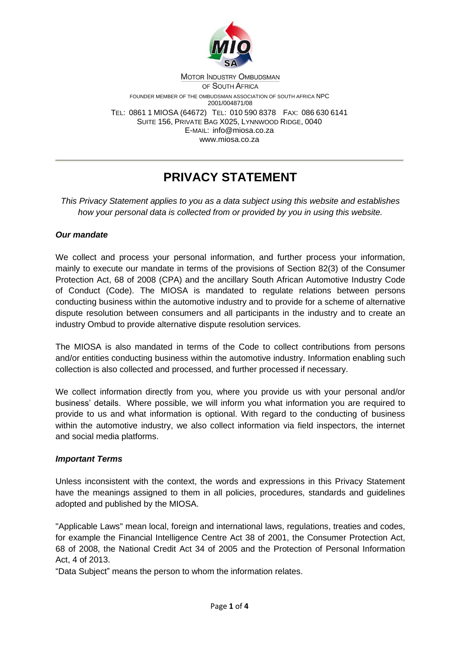

MOTOR INDUSTRY OMBUDSMAN OF SOUTH AFRICA FOUNDER MEMBER OF THE OMBUDSMAN ASSOCIATION OF SOUTH AFRICA NPC 2001/004871/08 TEL: 0861 1 MIOSA (64672) TEL: 010 590 8378 FAX: 086 630 6141 SUITE 156, PRIVATE BAG X025, LYNNWOOD RIDGE, 0040 E-MAIL: info@miosa.co.za www.miosa.co.za

# **PRIVACY STATEMENT**

*This Privacy Statement applies to you as a data subject using this website and establishes how your personal data is collected from or provided by you in using this website.*

# *Our mandate*

We collect and process your personal information, and further process your information, mainly to execute our mandate in terms of the provisions of Section 82(3) of the Consumer Protection Act, 68 of 2008 (CPA) and the ancillary South African Automotive Industry Code of Conduct (Code). The MIOSA is mandated to regulate relations between persons conducting business within the automotive industry and to provide for a scheme of alternative dispute resolution between consumers and all participants in the industry and to create an industry Ombud to provide alternative dispute resolution services.

The MIOSA is also mandated in terms of the Code to collect contributions from persons and/or entities conducting business within the automotive industry. Information enabling such collection is also collected and processed, and further processed if necessary.

We collect information directly from you, where you provide us with your personal and/or business' details. Where possible, we will inform you what information you are required to provide to us and what information is optional. With regard to the conducting of business within the automotive industry, we also collect information via field inspectors, the internet and social media platforms.

# *Important Terms*

Unless inconsistent with the context, the words and expressions in this Privacy Statement have the meanings assigned to them in all policies, procedures, standards and guidelines adopted and published by the MIOSA.

"Applicable Laws" mean local, foreign and international laws, regulations, treaties and codes, for example the Financial Intelligence Centre Act 38 of 2001, the Consumer Protection Act, 68 of 2008, the National Credit Act 34 of 2005 and the Protection of Personal Information Act, 4 of 2013.

"Data Subject" means the person to whom the information relates.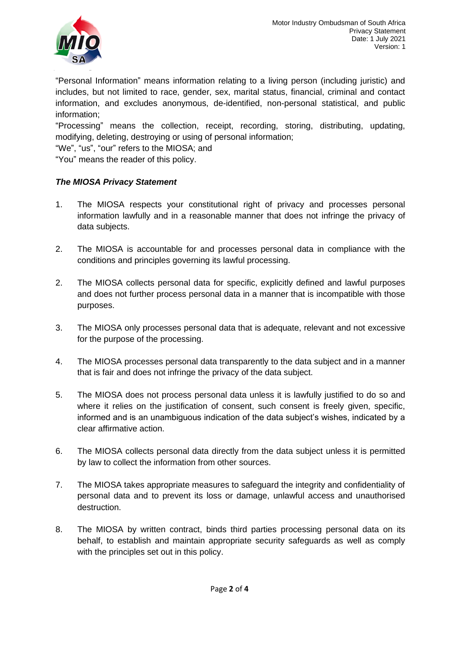

"Personal Information" means information relating to a living person (including juristic) and includes, but not limited to race, gender, sex, marital status, financial, criminal and contact information, and excludes anonymous, de-identified, non-personal statistical, and public information;

"Processing" means the collection, receipt, recording, storing, distributing, updating, modifying, deleting, destroying or using of personal information;

"We", "us", "our" refers to the MIOSA; and

"You" means the reader of this policy.

# *The MIOSA Privacy Statement*

- 1. The MIOSA respects your constitutional right of privacy and processes personal information lawfully and in a reasonable manner that does not infringe the privacy of data subjects.
- 2. The MIOSA is accountable for and processes personal data in compliance with the conditions and principles governing its lawful processing.
- 2. The MIOSA collects personal data for specific, explicitly defined and lawful purposes and does not further process personal data in a manner that is incompatible with those purposes.
- 3. The MIOSA only processes personal data that is adequate, relevant and not excessive for the purpose of the processing.
- 4. The MIOSA processes personal data transparently to the data subject and in a manner that is fair and does not infringe the privacy of the data subject.
- 5. The MIOSA does not process personal data unless it is lawfully justified to do so and where it relies on the justification of consent, such consent is freely given, specific, informed and is an unambiguous indication of the data subject's wishes, indicated by a clear affirmative action.
- 6. The MIOSA collects personal data directly from the data subject unless it is permitted by law to collect the information from other sources.
- 7. The MIOSA takes appropriate measures to safeguard the integrity and confidentiality of personal data and to prevent its loss or damage, unlawful access and unauthorised destruction.
- 8. The MIOSA by written contract, binds third parties processing personal data on its behalf, to establish and maintain appropriate security safeguards as well as comply with the principles set out in this policy.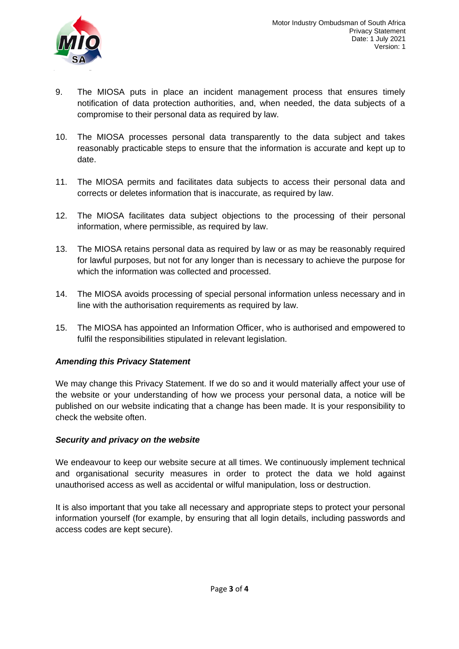

- 9. The MIOSA puts in place an incident management process that ensures timely notification of data protection authorities, and, when needed, the data subjects of a compromise to their personal data as required by law.
- 10. The MIOSA processes personal data transparently to the data subject and takes reasonably practicable steps to ensure that the information is accurate and kept up to date.
- 11. The MIOSA permits and facilitates data subjects to access their personal data and corrects or deletes information that is inaccurate, as required by law.
- 12. The MIOSA facilitates data subject objections to the processing of their personal information, where permissible, as required by law.
- 13. The MIOSA retains personal data as required by law or as may be reasonably required for lawful purposes, but not for any longer than is necessary to achieve the purpose for which the information was collected and processed.
- 14. The MIOSA avoids processing of special personal information unless necessary and in line with the authorisation requirements as required by law.
- 15. The MIOSA has appointed an Information Officer, who is authorised and empowered to fulfil the responsibilities stipulated in relevant legislation.

# *Amending this Privacy Statement*

We may change this Privacy Statement. If we do so and it would materially affect your use of the website or your understanding of how we process your personal data, a notice will be published on our website indicating that a change has been made. It is your responsibility to check the website often.

#### *Security and privacy on the website*

We endeavour to keep our website secure at all times. We continuously implement technical and organisational security measures in order to protect the data we hold against unauthorised access as well as accidental or wilful manipulation, loss or destruction.

It is also important that you take all necessary and appropriate steps to protect your personal information yourself (for example, by ensuring that all login details, including passwords and access codes are kept secure).